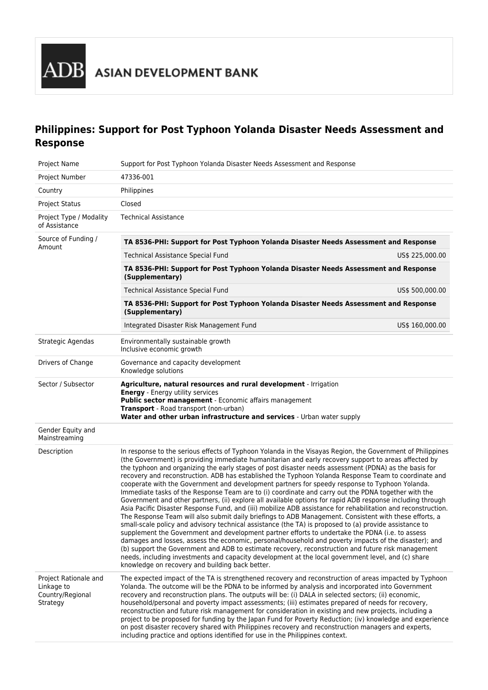# **Philippines: Support for Post Typhoon Yolanda Disaster Needs Assessment and Response**

| Project Name                                                        | Support for Post Typhoon Yolanda Disaster Needs Assessment and Response                                                                                                                                                                                                                                                                                                                                                                                                                                                                                                                                                                                                                                                                                                                                                                                                                                                                                                                                                                                                                                                                                                                                                                                                                                                                                                                                                                                                                                                                                                    |                 |  |  |  |  |  |  |
|---------------------------------------------------------------------|----------------------------------------------------------------------------------------------------------------------------------------------------------------------------------------------------------------------------------------------------------------------------------------------------------------------------------------------------------------------------------------------------------------------------------------------------------------------------------------------------------------------------------------------------------------------------------------------------------------------------------------------------------------------------------------------------------------------------------------------------------------------------------------------------------------------------------------------------------------------------------------------------------------------------------------------------------------------------------------------------------------------------------------------------------------------------------------------------------------------------------------------------------------------------------------------------------------------------------------------------------------------------------------------------------------------------------------------------------------------------------------------------------------------------------------------------------------------------------------------------------------------------------------------------------------------------|-----------------|--|--|--|--|--|--|
| Project Number                                                      | 47336-001                                                                                                                                                                                                                                                                                                                                                                                                                                                                                                                                                                                                                                                                                                                                                                                                                                                                                                                                                                                                                                                                                                                                                                                                                                                                                                                                                                                                                                                                                                                                                                  |                 |  |  |  |  |  |  |
| Country                                                             | Philippines                                                                                                                                                                                                                                                                                                                                                                                                                                                                                                                                                                                                                                                                                                                                                                                                                                                                                                                                                                                                                                                                                                                                                                                                                                                                                                                                                                                                                                                                                                                                                                |                 |  |  |  |  |  |  |
| <b>Project Status</b>                                               | Closed                                                                                                                                                                                                                                                                                                                                                                                                                                                                                                                                                                                                                                                                                                                                                                                                                                                                                                                                                                                                                                                                                                                                                                                                                                                                                                                                                                                                                                                                                                                                                                     |                 |  |  |  |  |  |  |
| Project Type / Modality<br>of Assistance                            | <b>Technical Assistance</b>                                                                                                                                                                                                                                                                                                                                                                                                                                                                                                                                                                                                                                                                                                                                                                                                                                                                                                                                                                                                                                                                                                                                                                                                                                                                                                                                                                                                                                                                                                                                                |                 |  |  |  |  |  |  |
| Source of Funding /<br>Amount                                       | TA 8536-PHI: Support for Post Typhoon Yolanda Disaster Needs Assessment and Response                                                                                                                                                                                                                                                                                                                                                                                                                                                                                                                                                                                                                                                                                                                                                                                                                                                                                                                                                                                                                                                                                                                                                                                                                                                                                                                                                                                                                                                                                       |                 |  |  |  |  |  |  |
|                                                                     | Technical Assistance Special Fund                                                                                                                                                                                                                                                                                                                                                                                                                                                                                                                                                                                                                                                                                                                                                                                                                                                                                                                                                                                                                                                                                                                                                                                                                                                                                                                                                                                                                                                                                                                                          | US\$ 225,000.00 |  |  |  |  |  |  |
|                                                                     | TA 8536-PHI: Support for Post Typhoon Yolanda Disaster Needs Assessment and Response<br>(Supplementary)                                                                                                                                                                                                                                                                                                                                                                                                                                                                                                                                                                                                                                                                                                                                                                                                                                                                                                                                                                                                                                                                                                                                                                                                                                                                                                                                                                                                                                                                    |                 |  |  |  |  |  |  |
|                                                                     | <b>Technical Assistance Special Fund</b>                                                                                                                                                                                                                                                                                                                                                                                                                                                                                                                                                                                                                                                                                                                                                                                                                                                                                                                                                                                                                                                                                                                                                                                                                                                                                                                                                                                                                                                                                                                                   | US\$ 500,000.00 |  |  |  |  |  |  |
|                                                                     | TA 8536-PHI: Support for Post Typhoon Yolanda Disaster Needs Assessment and Response<br>(Supplementary)                                                                                                                                                                                                                                                                                                                                                                                                                                                                                                                                                                                                                                                                                                                                                                                                                                                                                                                                                                                                                                                                                                                                                                                                                                                                                                                                                                                                                                                                    |                 |  |  |  |  |  |  |
|                                                                     | Integrated Disaster Risk Management Fund                                                                                                                                                                                                                                                                                                                                                                                                                                                                                                                                                                                                                                                                                                                                                                                                                                                                                                                                                                                                                                                                                                                                                                                                                                                                                                                                                                                                                                                                                                                                   | US\$ 160,000.00 |  |  |  |  |  |  |
| Strategic Agendas                                                   | Environmentally sustainable growth<br>Inclusive economic growth                                                                                                                                                                                                                                                                                                                                                                                                                                                                                                                                                                                                                                                                                                                                                                                                                                                                                                                                                                                                                                                                                                                                                                                                                                                                                                                                                                                                                                                                                                            |                 |  |  |  |  |  |  |
| Drivers of Change                                                   | Governance and capacity development<br>Knowledge solutions                                                                                                                                                                                                                                                                                                                                                                                                                                                                                                                                                                                                                                                                                                                                                                                                                                                                                                                                                                                                                                                                                                                                                                                                                                                                                                                                                                                                                                                                                                                 |                 |  |  |  |  |  |  |
| Sector / Subsector                                                  | Agriculture, natural resources and rural development - Irrigation<br><b>Energy</b> - Energy utility services<br>Public sector management - Economic affairs management<br>Transport - Road transport (non-urban)<br>Water and other urban infrastructure and services - Urban water supply                                                                                                                                                                                                                                                                                                                                                                                                                                                                                                                                                                                                                                                                                                                                                                                                                                                                                                                                                                                                                                                                                                                                                                                                                                                                                 |                 |  |  |  |  |  |  |
| Gender Equity and<br>Mainstreaming                                  |                                                                                                                                                                                                                                                                                                                                                                                                                                                                                                                                                                                                                                                                                                                                                                                                                                                                                                                                                                                                                                                                                                                                                                                                                                                                                                                                                                                                                                                                                                                                                                            |                 |  |  |  |  |  |  |
| Description                                                         | In response to the serious effects of Typhoon Yolanda in the Visayas Region, the Government of Philippines<br>(the Government) is providing immediate humanitarian and early recovery support to areas affected by<br>the typhoon and organizing the early stages of post disaster needs assessment (PDNA) as the basis for<br>recovery and reconstruction. ADB has established the Typhoon Yolanda Response Team to coordinate and<br>cooperate with the Government and development partners for speedy response to Typhoon Yolanda.<br>Immediate tasks of the Response Team are to (i) coordinate and carry out the PDNA together with the<br>Government and other partners, (ii) explore all available options for rapid ADB response including through<br>Asia Pacific Disaster Response Fund, and (iii) mobilize ADB assistance for rehabilitation and reconstruction.<br>The Response Team will also submit daily briefings to ADB Management. Consistent with these efforts, a<br>small-scale policy and advisory technical assistance (the TA) is proposed to (a) provide assistance to<br>supplement the Government and development partner efforts to undertake the PDNA (i.e. to assess<br>damages and losses, assess the economic, personal/household and poverty impacts of the disaster); and<br>(b) support the Government and ADB to estimate recovery, reconstruction and future risk management<br>needs, including investments and capacity development at the local government level, and (c) share<br>knowledge on recovery and building back better. |                 |  |  |  |  |  |  |
| Project Rationale and<br>Linkage to<br>Country/Regional<br>Strategy | The expected impact of the TA is strengthened recovery and reconstruction of areas impacted by Typhoon<br>Yolanda. The outcome will be the PDNA to be informed by analysis and incorporated into Government<br>recovery and reconstruction plans. The outputs will be: (i) DALA in selected sectors; (ii) economic,<br>household/personal and poverty impact assessments; (iii) estimates prepared of needs for recovery,<br>reconstruction and future risk management for consideration in existing and new projects, including a<br>project to be proposed for funding by the Japan Fund for Poverty Reduction; (iv) knowledge and experience<br>on post disaster recovery shared with Philippines recovery and reconstruction managers and experts,<br>including practice and options identified for use in the Philippines context.                                                                                                                                                                                                                                                                                                                                                                                                                                                                                                                                                                                                                                                                                                                                    |                 |  |  |  |  |  |  |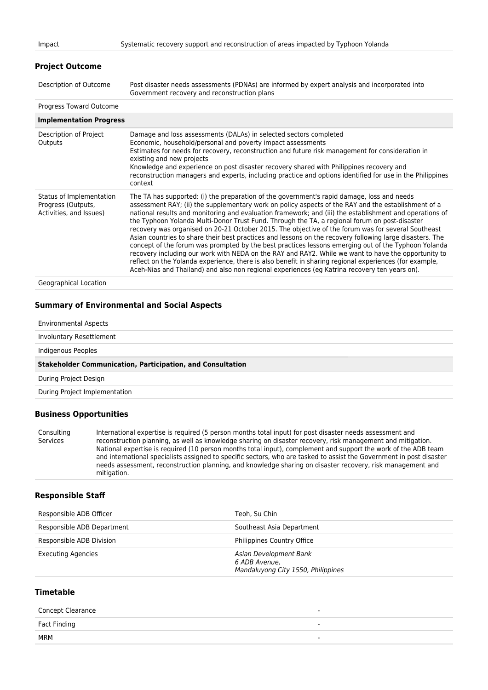# **Project Outcome**

| Description of Outcome | Post disaster needs assessments (PDNAs) are informed by expert analysis and incorporated into |
|------------------------|-----------------------------------------------------------------------------------------------|
|                        | Government recovery and reconstruction plans                                                  |

#### Progress Toward Outcome

| <b>Implementation Progress</b>                                            |                                                                                                                                                                                                                                                                                                                                                                                                                                                                                                                                                                                                                                                                                                                                                                                                                                                                                                                                                                                                                                                          |
|---------------------------------------------------------------------------|----------------------------------------------------------------------------------------------------------------------------------------------------------------------------------------------------------------------------------------------------------------------------------------------------------------------------------------------------------------------------------------------------------------------------------------------------------------------------------------------------------------------------------------------------------------------------------------------------------------------------------------------------------------------------------------------------------------------------------------------------------------------------------------------------------------------------------------------------------------------------------------------------------------------------------------------------------------------------------------------------------------------------------------------------------|
| Description of Project<br>Outputs                                         | Damage and loss assessments (DALAs) in selected sectors completed<br>Economic, household/personal and poverty impact assessments<br>Estimates for needs for recovery, reconstruction and future risk management for consideration in<br>existing and new projects<br>Knowledge and experience on post disaster recovery shared with Philippines recovery and<br>reconstruction managers and experts, including practice and options identified for use in the Philippines<br>context                                                                                                                                                                                                                                                                                                                                                                                                                                                                                                                                                                     |
| Status of Implementation<br>Progress (Outputs,<br>Activities, and Issues) | The TA has supported: (i) the preparation of the government's rapid damage, loss and needs<br>assessment RAY; (ii) the supplementary work on policy aspects of the RAY and the establishment of a<br>national results and monitoring and evaluation framework; and (iii) the establishment and operations of<br>the Typhoon Yolanda Multi-Donor Trust Fund. Through the TA, a regional forum on post-disaster<br>recovery was organised on 20-21 October 2015. The objective of the forum was for several Southeast<br>Asian countries to share their best practices and lessons on the recovery following large disasters. The<br>concept of the forum was prompted by the best practices lessons emerging out of the Typhoon Yolanda<br>recovery including our work with NEDA on the RAY and RAY2. While we want to have the opportunity to<br>reflect on the Yolanda experience, there is also benefit in sharing regional experiences (for example,<br>Aceh-Nias and Thailand) and also non regional experiences (eg Katrina recovery ten years on). |
|                                                                           |                                                                                                                                                                                                                                                                                                                                                                                                                                                                                                                                                                                                                                                                                                                                                                                                                                                                                                                                                                                                                                                          |

Geographical Location

## **Summary of Environmental and Social Aspects**

Environmental Aspects

Involuntary Resettlement

Indigenous Peoples

#### **Stakeholder Communication, Participation, and Consultation**

During Project Design

During Project Implementation

## **Business Opportunities**

Consulting Services International expertise is required (5 person months total input) for post disaster needs assessment and reconstruction planning, as well as knowledge sharing on disaster recovery, risk management and mitigation. National expertise is required (10 person months total input), complement and support the work of the ADB team and international specialists assigned to specific sectors, who are tasked to assist the Government in post disaster needs assessment, reconstruction planning, and knowledge sharing on disaster recovery, risk management and mitigation.

## **Responsible Staff**

| Responsible ADB Officer    | Teoh. Su Chin                                                                 |
|----------------------------|-------------------------------------------------------------------------------|
| Responsible ADB Department | Southeast Asia Department                                                     |
| Responsible ADB Division   | Philippines Country Office                                                    |
| <b>Executing Agencies</b>  | Asian Development Bank<br>6 ADB Avenue.<br>Mandaluyong City 1550, Philippines |

# **Timetable**

| <b>Concept Clearance</b> | $\overline{\phantom{a}}$ |
|--------------------------|--------------------------|
| Fact Finding             | $\overline{\phantom{a}}$ |
| MRM                      |                          |